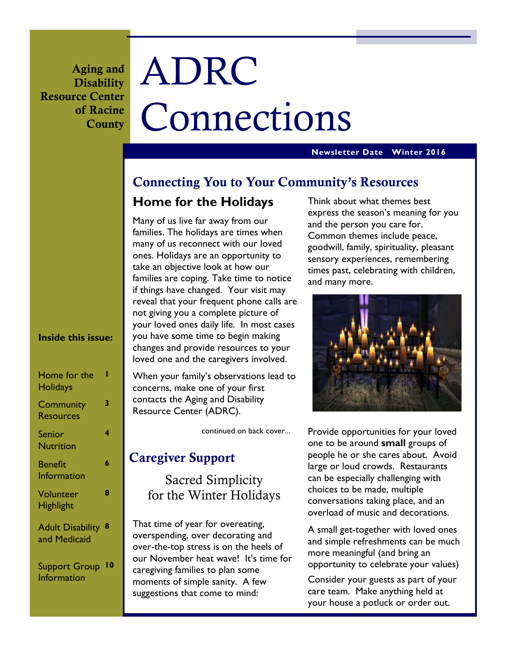**Aging and Disability Resource Center of Racine County** 

# ADRC Connections

#### **Newsletter Date Winter 2016**

# **Connecting You to Your Community's Resources**

# **Home for the Holidays**

Many of us live far away from our families. The holidays are times when many of us reconnect with our loved ones. Holidays are an opportunity to take an objective look at how our families are coping. Take time to notice if things have changed. Your visit may reveal that your frequent phone calls are not giving you a complete picture of your loved ones daily life. In most cases you have some time to begin making changes and provide resources to your loved one and the caregivers involved.

When your family's observations lead to concerns, make one of your first contacts the Aging and Disability Resource Center (ADRC).

continued on back cover...

# **Caregiver Support**

Sacred Simplicity for the Winter Holidays

That time of year for overeating, overspending, over decorating and over-the-top stress is on the heels of our November heat wave! It's time for caregiving families to plan some moments of simple sanity. A few suggestions that come to mind:

Think about what themes best express the season's meaning for you and the person you care for. Common themes include peace, goodwill, family, spirituality, pleasant sensory experiences, remembering times past, celebrating with children, and many more.



Provide opportunities for your loved one to be around **small** groups of people he or she cares about. Avoid large or loud crowds. Restaurants can be especially challenging with choices to be made, multiple conversations taking place, and an overload of music and decorations.

A small get-together with loved ones and simple refreshments can be much more meaningful (and bring an opportunity to celebrate your values)

Consider your guests as part of your care team. Make anything held at your house a potluck or order out.

# **Inside this issue:**

| Home for the<br>Holidays                |   |
|-----------------------------------------|---|
| Community<br><b>Resources</b>           | 3 |
| Senior<br>Nutrition                     | 4 |
| <b>Benefit</b><br>Information           | 6 |
| Volunteer<br><b>Highlight</b>           | 8 |
| <b>Adult Disability</b><br>and Medicaid | 8 |
| <b>Support Group</b><br>Information     |   |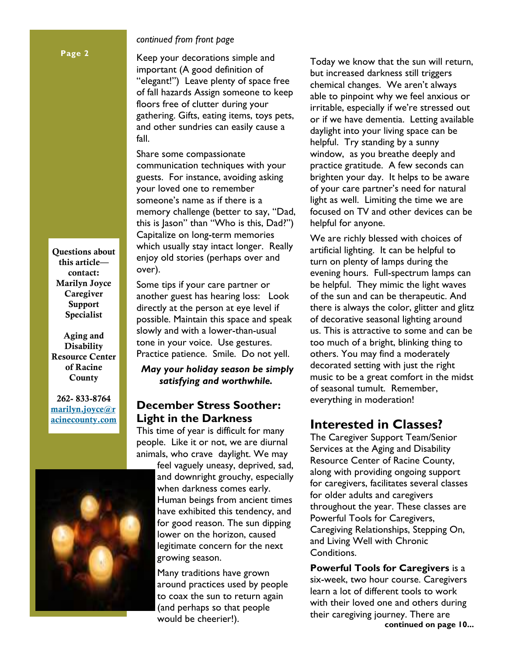# *continued from front page*

Keep your decorations simple and important (A good definition of "elegant!") Leave plenty of space free of fall hazards Assign someone to keep floors free of clutter during your gathering. Gifts, eating items, toys pets, and other sundries can easily cause a fall.

Share some compassionate communication techniques with your guests. For instance, avoiding asking your loved one to remember someone's name as if there is a memory challenge (better to say, "Dad, this is Jason" than "Who is this, Dad?") Capitalize on long-term memories which usually stay intact longer. Really enjoy old stories (perhaps over and over).

Some tips if your care partner or another guest has hearing loss: Look directly at the person at eye level if possible. Maintain this space and speak slowly and with a lower-than-usual tone in your voice. Use gestures. Practice patience. Smile. Do not yell.

*May your holiday season be simply satisfying and worthwhile.* 

# **December Stress Soother: Light in the Darkness**

This time of year is difficult for many people. Like it or not, we are diurnal animals, who crave daylight. We may

> feel vaguely uneasy, deprived, sad, and downright grouchy, especially when darkness comes early. Human beings from ancient times have exhibited this tendency, and for good reason. The sun dipping lower on the horizon, caused legitimate concern for the next growing season.

Many traditions have grown around practices used by people to coax the sun to return again (and perhaps so that people would be cheerier!).

Today we know that the sun will return, but increased darkness still triggers chemical changes. We aren't always able to pinpoint why we feel anxious or irritable, especially if we're stressed out or if we have dementia. Letting available daylight into your living space can be helpful. Try standing by a sunny window, as you breathe deeply and practice gratitude. A few seconds can brighten your day. It helps to be aware of your care partner's need for natural light as well. Limiting the time we are focused on TV and other devices can be helpful for anyone.

We are richly blessed with choices of artificial lighting. It can be helpful to turn on plenty of lamps during the evening hours. Full-spectrum lamps can be helpful. They mimic the light waves of the sun and can be therapeutic. And there is always the color, glitter and glitz of decorative seasonal lighting around us. This is attractive to some and can be too much of a bright, blinking thing to others. You may find a moderately decorated setting with just the right music to be a great comfort in the midst of seasonal tumult. Remember, everything in moderation!

# **Interested in Classes?**

The Caregiver Support Team/Senior Services at the Aging and Disability Resource Center of Racine County, along with providing ongoing support for caregivers, facilitates several classes for older adults and caregivers throughout the year. These classes are Powerful Tools for Caregivers, Caregiving Relationships, Stepping On, and Living Well with Chronic Conditions.

**Powerful Tools for Caregivers** is a six-week, two hour course. Caregivers learn a lot of different tools to work with their loved one and others during their caregiving journey. There are **continued on page 10...** 

**Questions about this article contact: Marilyn Joyce Caregiver Support Specialist** 

**Aging and Disability Resource Center of Racine County** 

**262- 833-8764 marilyn.joyce@r acinecounty.com**

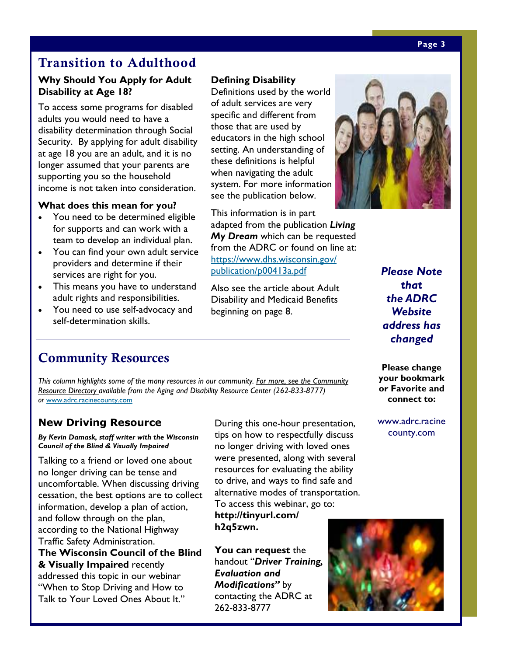# **Transition to Adulthood**

# **Why Should You Apply for Adult Disability at Age 18?**

To access some programs for disabled adults you would need to have a disability determination through Social Security. By applying for adult disability at age 18 you are an adult, and it is no longer assumed that your parents are supporting you so the household income is not taken into consideration.

### **What does this mean for you?**

- You need to be determined eligible for supports and can work with a team to develop an individual plan.
- You can find your own adult service providers and determine if their services are right for you.
- This means you have to understand adult rights and responsibilities.
- You need to use self-advocacy and self-determination skills.

### **Defining Disability**

Definitions used by the world of adult services are very specific and different from those that are used by educators in the high school setting. An understanding of these definitions is helpful when navigating the adult system. For more information see the publication below.

This information is in part adapted from the publication *Living My Dream* which can be requested from the ADRC or found on line at: https://www.dhs.wisconsin.gov/ publication/p00413a.pdf

Also see the article about Adult Disability and Medicaid Benefits beginning on page 8.

*Please Note that the ADRC Website address has changed* 

# **Community Resources**

*This column highlights some of the many resources in our community. For more, see the Community Resource Directory available from the Aging and Disability Resource Center (262-833-8777) or* www.adrc.racinecounty.com

# **New Driving Resource**

*By Kevin Damask, staff writer with the Wisconsin Council of the Blind & Visually Impaired* 

Talking to a friend or loved one about no longer driving can be tense and uncomfortable. When discussing driving cessation, the best options are to collect information, develop a plan of action, and follow through on the plan, according to the National Highway Traffic Safety Administration. **The Wisconsin Council of the Blind & Visually Impaired** recently addressed this topic in our webinar "When to Stop Driving and How to Talk to Your Loved Ones About It."

During this one-hour presentation, tips on how to respectfully discuss no longer driving with loved ones were presented, along with several resources for evaluating the ability to drive, and ways to find safe and alternative modes of transportation. To access this webinar, go to:

**http://tinyurl.com/ h2q5zwn.** 

**You can request** the handout "*Driver Training, Evaluation and Modifications"* by contacting the ADRC at 262-833-8777

**or Favorite and connect to:** 

**Please change your bookmark** 

www.adrc.racine county.com





#### **Page 3**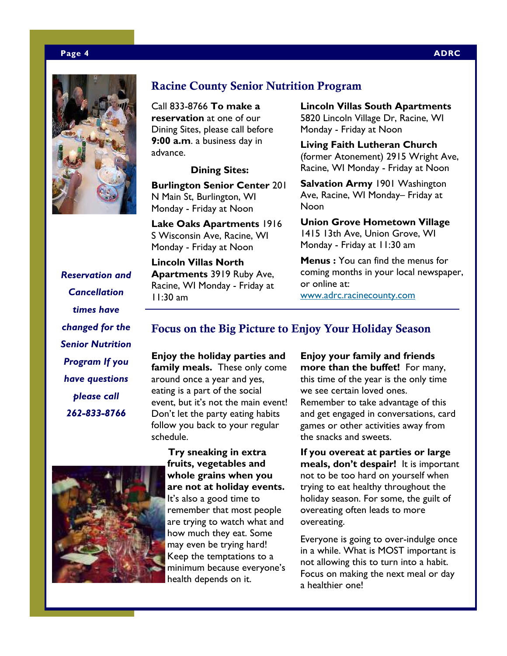#### **Page 4 ADRC**



# **Racine County Senior Nutrition Program**

Call 833-8766 **To make a reservation** at one of our Dining Sites, please call before **9:00 a.m**. a business day in advance.

#### **Dining Sites:**

**Burlington Senior Center** 201 N Main St, Burlington, WI Monday - Friday at Noon

**Lake Oaks Apartments** 1916 S Wisconsin Ave, Racine, WI Monday - Friday at Noon

**Lincoln Villas North Apartments** 3919 Ruby Ave, Racine, WI Monday - Friday at 11:30 am

**Lincoln Villas South Apartments**  5820 Lincoln Village Dr, Racine, WI Monday - Friday at Noon

**Living Faith Lutheran Church**  (former Atonement) 2915 Wright Ave, Racine, WI Monday - Friday at Noon

**Salvation Army** 1901 Washington Ave, Racine, WI Monday– Friday at Noon

**Union Grove Hometown Village**  1415 13th Ave, Union Grove, WI Monday - Friday at 11:30 am

**Menus :** You can find the menus for coming months in your local newspaper, or online at:

www.adrc.racinecounty.com

*Reservation and Cancellation times have changed for the Senior Nutrition Program If you have questions please call 262-833-8766* 

# **Focus on the Big Picture to Enjoy Your Holiday Season**

**Enjoy the holiday parties and family meals.** These only come around once a year and yes, eating is a part of the social event, but it's not the main event! Don't let the party eating habits follow you back to your regular schedule.



 **Try sneaking in extra fruits, vegetables and whole grains when you are not at holiday events.**  It's also a good time to remember that most people are trying to watch what and how much they eat. Some may even be trying hard! Keep the temptations to a minimum because everyone's health depends on it.

**Enjoy your family and friends more than the buffet!** For many, this time of the year is the only time we see certain loved ones. Remember to take advantage of this and get engaged in conversations, card games or other activities away from the snacks and sweets.

**If you overeat at parties or large meals, don't despair!** It is important not to be too hard on yourself when trying to eat healthy throughout the holiday season. For some, the guilt of overeating often leads to more overeating.

Everyone is going to over-indulge once in a while. What is MOST important is not allowing this to turn into a habit. Focus on making the next meal or day a healthier one!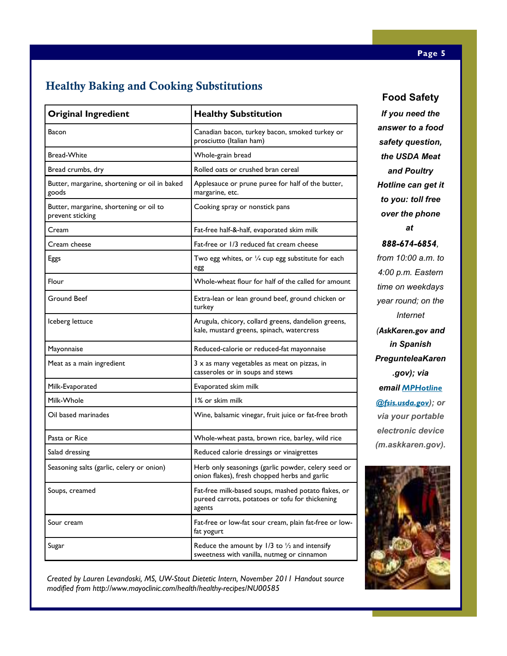# **Healthy Baking and Cooking Substitutions**

| <b>Original Ingredient</b>                                  | <b>Healthy Substitution</b>                                                                                      |
|-------------------------------------------------------------|------------------------------------------------------------------------------------------------------------------|
| Bacon                                                       | Canadian bacon, turkey bacon, smoked turkey or<br>prosciutto (Italian ham)                                       |
| <b>Bread-White</b>                                          | Whole-grain bread                                                                                                |
| Bread crumbs, dry                                           | Rolled oats or crushed bran cereal                                                                               |
| Butter, margarine, shortening or oil in baked<br>goods      | Applesauce or prune puree for half of the butter,<br>margarine, etc.                                             |
| Butter, margarine, shortening or oil to<br>prevent sticking | Cooking spray or nonstick pans                                                                                   |
| Cream                                                       | Fat-free half-&-half, evaporated skim milk                                                                       |
| Cream cheese                                                | Fat-free or 1/3 reduced fat cream cheese                                                                         |
| Eggs                                                        | Two egg whites, or $\frac{1}{4}$ cup egg substitute for each<br>egg                                              |
| Flour                                                       | Whole-wheat flour for half of the called for amount                                                              |
| Ground Beef                                                 | Extra-lean or lean ground beef, ground chicken or<br>turkey                                                      |
| Iceberg lettuce                                             | Arugula, chicory, collard greens, dandelion greens,<br>kale, mustard greens, spinach, watercress                 |
| Mayonnaise                                                  | Reduced-calorie or reduced-fat mayonnaise                                                                        |
| Meat as a main ingredient                                   | $3 \times$ as many vegetables as meat on pizzas, in<br>casseroles or in soups and stews                          |
| Milk-Evaporated                                             | Evaporated skim milk                                                                                             |
| Milk-Whole                                                  | 1% or skim milk                                                                                                  |
| Oil based marinades                                         | Wine, balsamic vinegar, fruit juice or fat-free broth                                                            |
| Pasta or Rice                                               | Whole-wheat pasta, brown rice, barley, wild rice                                                                 |
| Salad dressing                                              | Reduced calorie dressings or vinaigrettes                                                                        |
| Seasoning salts (garlic, celery or onion)                   | Herb only seasonings (garlic powder, celery seed or<br>onion flakes), fresh chopped herbs and garlic             |
| Soups, creamed                                              | Fat-free milk-based soups, mashed potato flakes, or<br>pureed carrots, potatoes or tofu for thickening<br>agents |
| Sour cream                                                  | Fat-free or low-fat sour cream, plain fat-free or low-<br>fat yogurt                                             |
| Sugar                                                       | Reduce the amount by $1/3$ to $\frac{1}{2}$ and intensify<br>sweetness with vanilla, nutmeg or cinnamon          |

**Food Safety** 

*If you need the answer to a food safety question, the USDA Meat and Poultry Hotline can get it to you: toll free over the phone at 888-674-6854, from 10:00 a.m. to 4:00 p.m. Eastern time on weekdays year round; on the Internet (AskKaren.gov and in Spanish PregunteleaKaren .gov); via email MPHotline @fsis.usda.gov); or via your portable electronic device (m.askkaren.gov).*



*Created by Lauren Levandoski, MS, UW-Stout Dietetic Intern, November 2011 Handout source modified from http://www.mayoclinic.com/health/healthy-recipes/NU00585*

#### **Page 5**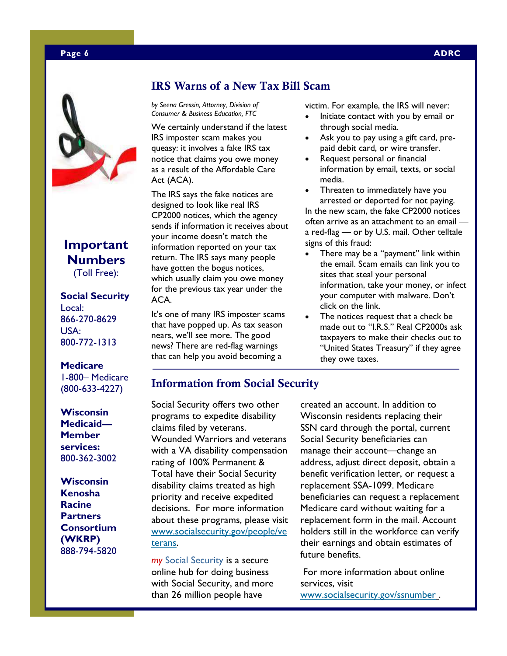



# **Important Numbers**  (Toll Free):

# **Social Security**

Local: 866-270-8629 USA: 800-772-1313

#### **Medicare**

1-800– Medicare (800-633-4227)

**Wisconsin Medicaid— Member services:**  800-362-3002

**Wisconsin Kenosha Racine Partners Consortium (WKRP)**  888-794-5820

# **IRS Warns of a New Tax Bill Scam**

*by Seena Gressin, Attorney, Division of Consumer & Business Education, FTC* 

We certainly understand if the latest IRS imposter scam makes you queasy: it involves a fake IRS tax notice that claims you owe money as a result of the Affordable Care Act (ACA).

The IRS says the fake notices are designed to look like real IRS CP2000 notices, which the agency sends if information it receives about your income doesn't match the information reported on your tax return. The IRS says many people have gotten the bogus notices, which usually claim you owe money for the previous tax year under the ACA.

It's one of many IRS imposter scams that have popped up. As tax season nears, we'll see more. The good news? There are red-flag warnings that can help you avoid becoming a

victim. For example, the IRS will never:

- Initiate contact with you by email or through social media.
- Ask you to pay using a gift card, prepaid debit card, or wire transfer.
- Request personal or financial information by email, texts, or social media.
- Threaten to immediately have you arrested or deported for not paying. In the new scam, the fake CP2000 notices often arrive as an attachment to an email a red-flag — or by U.S. mail. Other telltale signs of this fraud:
- There may be a "payment" link within the email. Scam emails can link you to sites that steal your personal information, take your money, or infect your computer with malware. Don't click on the link.
- The notices request that a check be made out to "I.R.S." Real CP2000s ask taxpayers to make their checks out to "United States Treasury" if they agree they owe taxes.

# **Information from Social Security**

Social Security offers two other programs to expedite disability claims filed by veterans. Wounded Warriors and veterans with a VA disability compensation rating of 100% Permanent & Total have their Social Security disability claims treated as high priority and receive expedited decisions. For more information about these programs, please visit www.socialsecurity.gov/people/ve terans.

*my* Social Security is a secure online hub for doing business with Social Security, and more than 26 million people have

created an account. In addition to Wisconsin residents replacing their SSN card through the portal, current Social Security beneficiaries can manage their account—change an address, adjust direct deposit, obtain a benefit verification letter, or request a replacement SSA-1099. Medicare beneficiaries can request a replacement Medicare card without waiting for a replacement form in the mail. Account holders still in the workforce can verify their earnings and obtain estimates of future benefits.

 For more information about online services, visit www.socialsecurity.gov/ssnumber.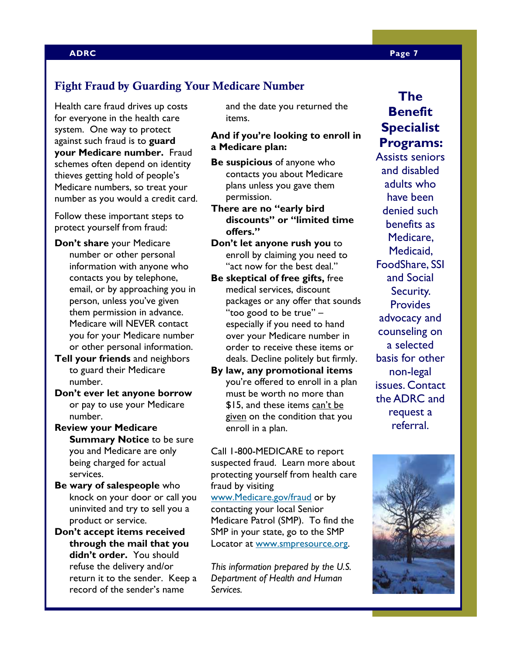#### **ADRC Page 7**

# **Fight Fraud by Guarding Your Medicare Number**

Health care fraud drives up costs for everyone in the health care system. One way to protect against such fraud is to **guard your Medicare number.** Fraud schemes often depend on identity thieves getting hold of people's Medicare numbers, so treat your number as you would a credit card.

Follow these important steps to protect yourself from fraud:

- **Don't share** your Medicare number or other personal information with anyone who contacts you by telephone, email, or by approaching you in person, unless you've given them permission in advance. Medicare will NEVER contact you for your Medicare number or other personal information.
- **Tell your friends** and neighbors to guard their Medicare number.
- **Don't ever let anyone borrow**  or pay to use your Medicare number.
- **Review your Medicare Summary Notice** to be sure you and Medicare are only being charged for actual services.
- **Be wary of salespeople** who knock on your door or call you uninvited and try to sell you a product or service.
- **Don't accept items received through the mail that you didn't order.** You should refuse the delivery and/or return it to the sender. Keep a record of the sender's name

and the date you returned the items.

# **And if you're looking to enroll in a Medicare plan:**

- **Be suspicious** of anyone who contacts you about Medicare plans unless you gave them permission.
- **There are no "early bird discounts" or "limited time offers."**
- **Don't let anyone rush you** to enroll by claiming you need to "act now for the best deal."
- **Be skeptical of free gifts,** free medical services, discount packages or any offer that sounds "too good to be true" – especially if you need to hand over your Medicare number in order to receive these items or deals. Decline politely but firmly.
- **By law, any promotional items**  you're offered to enroll in a plan must be worth no more than \$15, and these items can't be given on the condition that you enroll in a plan.

Call 1-800-MEDICARE to report suspected fraud. Learn more about protecting yourself from health care fraud by visiting

www.Medicare.gov/fraud or by contacting your local Senior Medicare Patrol (SMP). To find the SMP in your state, go to the SMP Locator at www.smpresource.org.

*This information prepared by the U.S. Department of Health and Human Services.* 

# **The Benefit Specialist Programs:**

Assists seniors and disabled adults who have been denied such benefits as Medicare, Medicaid, FoodShare, SSI and Social Security. **Provides** advocacy and counseling on a selected basis for other non-legal issues. Contact the ADRC and request a referral.

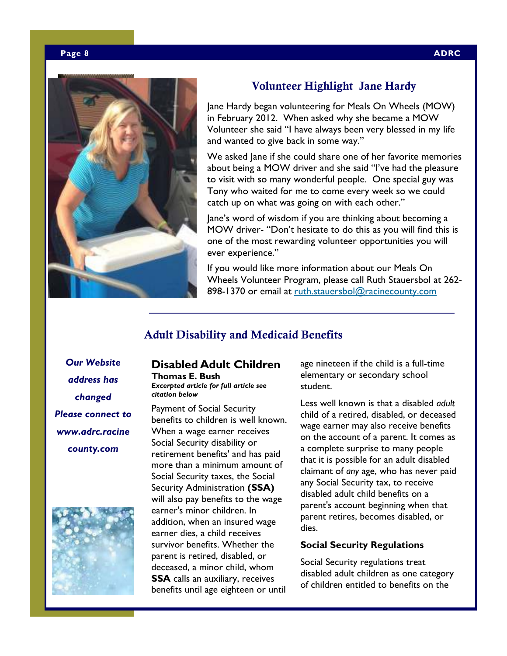

# **Volunteer Highlight Jane Hardy**

Jane Hardy began volunteering for Meals On Wheels (MOW) in February 2012. When asked why she became a MOW Volunteer she said "I have always been very blessed in my life and wanted to give back in some way."

We asked Jane if she could share one of her favorite memories about being a MOW driver and she said "I've had the pleasure to visit with so many wonderful people. One special guy was Tony who waited for me to come every week so we could catch up on what was going on with each other."

Jane's word of wisdom if you are thinking about becoming a MOW driver- "Don't hesitate to do this as you will find this is one of the most rewarding volunteer opportunities you will ever experience."

If you would like more information about our Meals On Wheels Volunteer Program, please call Ruth Stauersbol at 262- 898-1370 or email at ruth.stauersbol@racinecounty.com

# **Adult Disability and Medicaid Benefits**

*Our Website address has changed Please connect to www.adrc.racine county.com* 



#### **Disabled Adult Children Thomas E. Bush**

*Excerpted article for full article see citation below* 

Payment of Social Security benefits to children is well known. When a wage earner receives Social Security disability or retirement benefits' and has paid more than a minimum amount of Social Security taxes, the Social Security Administration **(SSA)**  will also pay benefits to the wage earner's minor children. In addition, when an insured wage earner dies, a child receives survivor benefits. Whether the parent is retired, disabled, or deceased, a minor child, whom **SSA** calls an auxiliary, receives benefits until age eighteen or until

age nineteen if the child is a full-time elementary or secondary school student.

Less well known is that a disabled *adult*  child of a retired, disabled, or deceased wage earner may also receive benefits on the account of a parent. It comes as a complete surprise to many people that it is possible for an adult disabled claimant of *any* age, who has never paid any Social Security tax, to receive disabled adult child benefits on a parent's account beginning when that parent retires, becomes disabled, or dies.

#### **Social Security Regulations**

Social Security regulations treat disabled adult children as one category of children entitled to benefits on the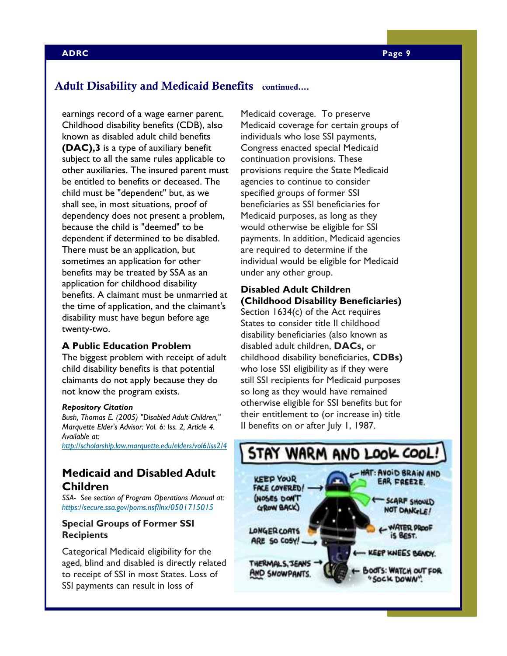# **Adult Disability and Medicaid Benefits continued….**

earnings record of a wage earner parent. Childhood disability benefits (CDB), also known as disabled adult child benefits **(DAC),3** is a type of auxiliary benefit subject to all the same rules applicable to other auxiliaries. The insured parent must be entitled to benefits or deceased. The child must be "dependent" but, as we shall see, in most situations, proof of dependency does not present a problem, because the child is "deemed" to be dependent if determined to be disabled. There must be an application, but sometimes an application for other benefits may be treated by SSA as an application for childhood disability benefits. A claimant must be unmarried at the time of application, and the claimant's disability must have begun before age twenty-two.

#### **A Public Education Problem**

The biggest problem with receipt of adult child disability benefits is that potential claimants do not apply because they do not know the program exists.

#### *Repository Citation*

*Bush, Thomas E. (2005) "Disabled Adult Children," Marquette Elder's Advisor: Vol. 6: Iss. 2, Article 4. Available at:* 

*http://scholarship.law.marquette.edu/elders/vol6/iss2/4*

# **Medicaid and Disabled Adult Children**

*SSA- See section of Program Operations Manual at: https://secure.ssa.gov/poms.nsf/lnx/0501715015*

### **Special Groups of Former SSI Recipients**

Categorical Medicaid eligibility for the aged, blind and disabled is directly related to receipt of SSI in most States. Loss of SSI payments can result in loss of

Medicaid coverage. To preserve Medicaid coverage for certain groups of individuals who lose SSI payments, Congress enacted special Medicaid continuation provisions. These provisions require the State Medicaid agencies to continue to consider specified groups of former SSI beneficiaries as SSI beneficiaries for Medicaid purposes, as long as they would otherwise be eligible for SSI payments. In addition, Medicaid agencies are required to determine if the individual would be eligible for Medicaid under any other group.

# **Disabled Adult Children (Childhood Disability Beneficiaries)**

Section 1634(c) of the Act requires States to consider title II childhood disability beneficiaries (also known as disabled adult children, **DACs,** or childhood disability beneficiaries, **CDBs)**  who lose SSI eligibility as if they were still SSI recipients for Medicaid purposes so long as they would have remained otherwise eligible for SSI benefits but for their entitlement to (or increase in) title II benefits on or after July 1, 1987.

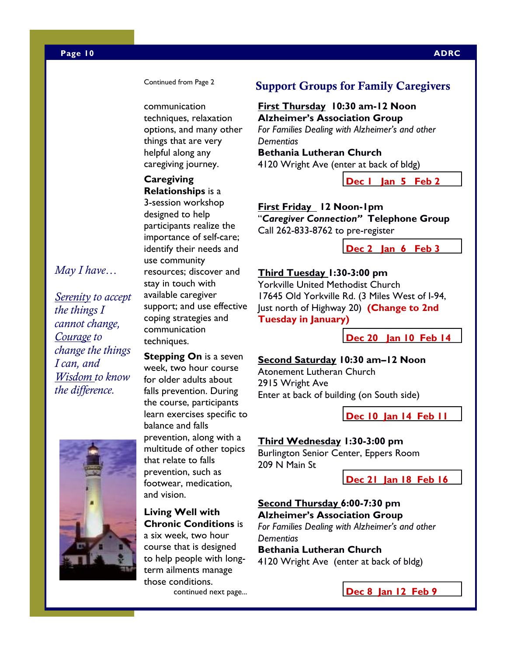#### **Page 10 ADRC**

Continued from Page 2

communication techniques, relaxation options, and many other things that are very helpful along any caregiving journey.

# **Caregiving**

**Relationships** is a 3-session workshop designed to help participants realize the importance of self-care; identify their needs and use community resources; discover and stay in touch with available caregiver support; and use effective coping strategies and communication techniques.

# *May I have…*

*Serenity to accept the things I cannot change, Courage to change the things I can, and Wisdom to know the difference.* 



# **Stepping On** is a seven

week, two hour course for older adults about falls prevention. During the course, participants learn exercises specific to balance and falls prevention, along with a multitude of other topics that relate to falls prevention, such as footwear, medication, and vision.

#### **Living Well with Chronic Conditions** is

a six week, two hour course that is designed to help people with longterm ailments manage those conditions. continued next page...

# **Support Groups for Family Caregivers**

# **First Thursday 10:30 am-12 Noon Alzheimer's Association Group**  *For Families Dealing with Alzheimer's and other*

*Dementias*  **Bethania Lutheran Church** 4120 Wright Ave (enter at back of bldg)

**Dec 1 Jan 5 Feb 2** 

### **First Friday 12 Noon-1pm**

"*Caregiver Connection"* **Telephone Group**  Call 262-833-8762 to pre-register

**Dec 2 Jan 6 Feb 3**

# **Third Tuesday 1:30-3:00 pm**

Yorkville United Methodist Church 17645 Old Yorkville Rd. (3 Miles West of I-94, Just north of Highway 20) **(Change to 2nd Tuesday in January)** 

**Dec 20 Jan 10 Feb 14**

# **Second Saturday 10:30 am–12 Noon**

Atonement Lutheran Church 2915 Wright Ave Enter at back of building (on South side)

**Dec 10 Jan 14 Feb 11**

#### **Third Wednesday 1:30-3:00 pm**

Burlington Senior Center, Eppers Room 209 N Main St

**Dec 21 Jan 18 Feb 16**

# **Second Thursday 6:00-7:30 pm Alzheimer's Association Group**

*For Families Dealing with Alzheimer's and other Dementias* 

# **Bethania Lutheran Church**

4120 Wright Ave (enter at back of bldg)

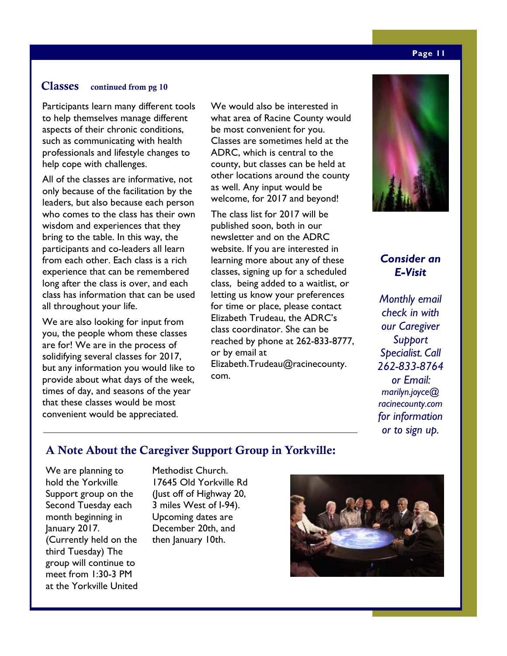# **Classes continued from pg 10**

Participants learn many different tools to help themselves manage different aspects of their chronic conditions, such as communicating with health professionals and lifestyle changes to help cope with challenges.

All of the classes are informative, not only because of the facilitation by the leaders, but also because each person who comes to the class has their own wisdom and experiences that they bring to the table. In this way, the participants and co-leaders all learn from each other. Each class is a rich experience that can be remembered long after the class is over, and each class has information that can be used all throughout your life.

We are also looking for input from you, the people whom these classes are for! We are in the process of solidifying several classes for 2017, but any information you would like to provide about what days of the week, times of day, and seasons of the year that these classes would be most convenient would be appreciated.

We would also be interested in what area of Racine County would be most convenient for you. Classes are sometimes held at the ADRC, which is central to the county, but classes can be held at other locations around the county as well. Any input would be welcome, for 2017 and beyond!

The class list for 2017 will be published soon, both in our newsletter and on the ADRC website. If you are interested in learning more about any of these classes, signing up for a scheduled class, being added to a waitlist, or letting us know your preferences for time or place, please contact Elizabeth Trudeau, the ADRC's class coordinator. She can be reached by phone at 262-833-8777, or by email at Elizabeth.Trudeau@racinecounty. com.



# *Consider an E-Visit*

*Monthly email check in with our Caregiver Support Specialist. Call 262-833-8764 or Email: marilyn.joyce@ racinecounty.com for information or to sign up.* 

# **A Note About the Caregiver Support Group in Yorkville:**

We are planning to hold the Yorkville Support group on the Second Tuesday each month beginning in January 2017. (Currently held on the third Tuesday) The group will continue to meet from 1:30-3 PM at the Yorkville United Methodist Church. 17645 Old Yorkville Rd (Just off of Highway 20, 3 miles West of I-94). Upcoming dates are December 20th, and then January 10th.



#### **Page 11**